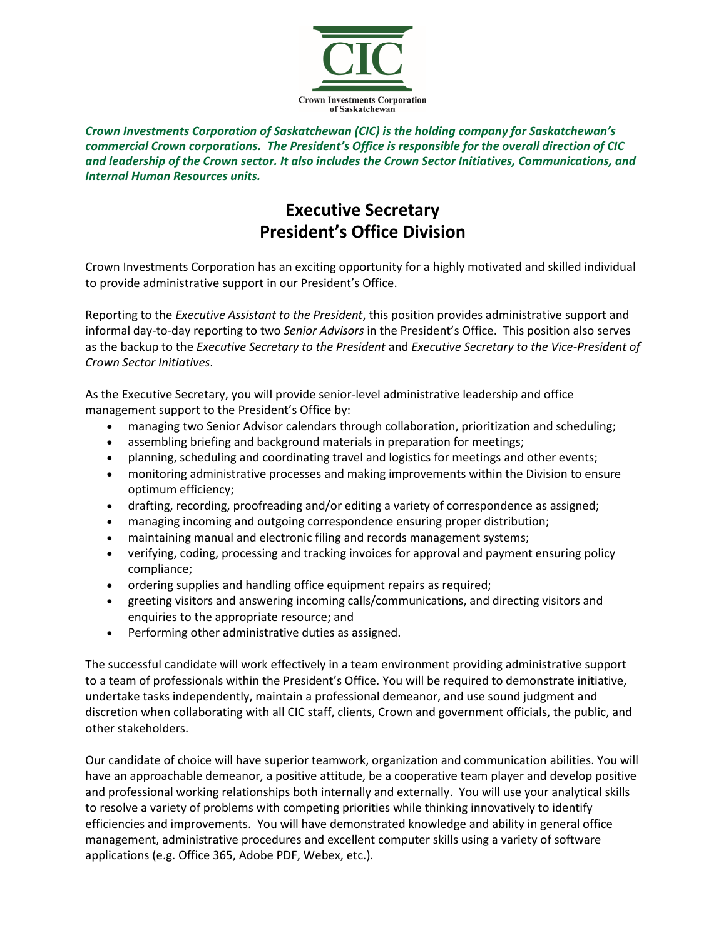

*Crown Investments Corporation of Saskatchewan (CIC) is the holding company for Saskatchewan's commercial Crown corporations. The President's Office is responsible for the overall direction of CIC and leadership of the Crown sector. It also includes the Crown Sector Initiatives, Communications, and Internal Human Resources units.* 

## **Executive Secretary President's Office Division**

Crown Investments Corporation has an exciting opportunity for a highly motivated and skilled individual to provide administrative support in our President's Office.

Reporting to the *Executive Assistant to the President*, this position provides administrative support and informal day-to-day reporting to two *Senior Advisors* in the President's Office. This position also serves as the backup to the *Executive Secretary to the President* and *Executive Secretary to the Vice-President of Crown Sector Initiatives*.

As the Executive Secretary, you will provide senior-level administrative leadership and office management support to the President's Office by:

- managing two Senior Advisor calendars through collaboration, prioritization and scheduling;
- assembling briefing and background materials in preparation for meetings;
- planning, scheduling and coordinating travel and logistics for meetings and other events;
- monitoring administrative processes and making improvements within the Division to ensure optimum efficiency;
- drafting, recording, proofreading and/or editing a variety of correspondence as assigned;
- managing incoming and outgoing correspondence ensuring proper distribution;
- maintaining manual and electronic filing and records management systems;
- verifying, coding, processing and tracking invoices for approval and payment ensuring policy compliance;
- ordering supplies and handling office equipment repairs as required;
- greeting visitors and answering incoming calls/communications, and directing visitors and enquiries to the appropriate resource; and
- Performing other administrative duties as assigned.

The successful candidate will work effectively in a team environment providing administrative support to a team of professionals within the President's Office. You will be required to demonstrate initiative, undertake tasks independently, maintain a professional demeanor, and use sound judgment and discretion when collaborating with all CIC staff, clients, Crown and government officials, the public, and other stakeholders.

Our candidate of choice will have superior teamwork, organization and communication abilities. You will have an approachable demeanor, a positive attitude, be a cooperative team player and develop positive and professional working relationships both internally and externally. You will use your analytical skills to resolve a variety of problems with competing priorities while thinking innovatively to identify efficiencies and improvements. You will have demonstrated knowledge and ability in general office management, administrative procedures and excellent computer skills using a variety of software applications (e.g. Office 365, Adobe PDF, Webex, etc.).